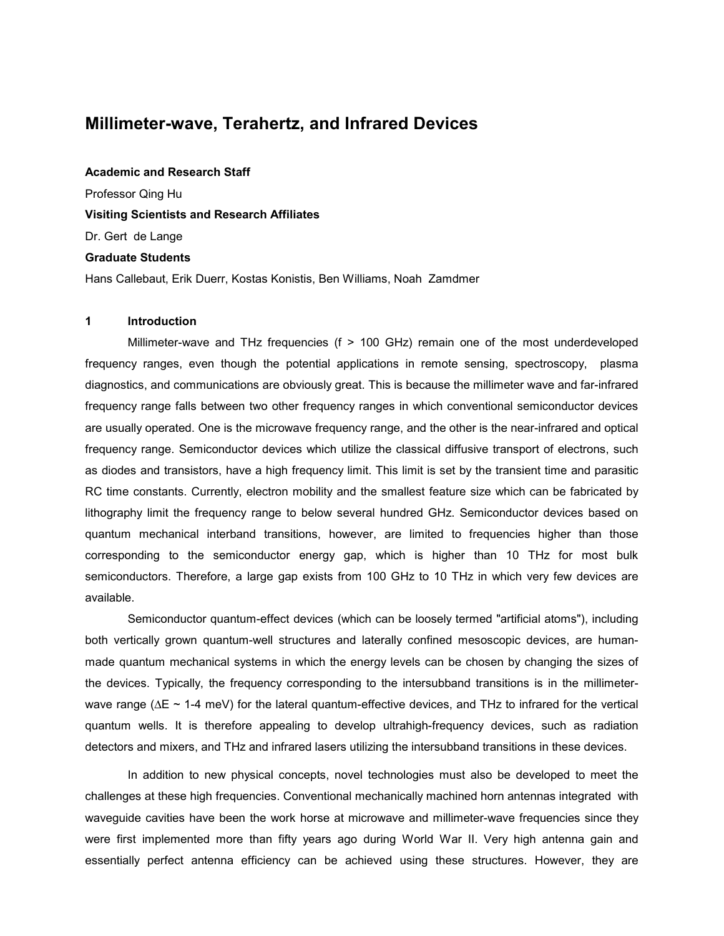# **Millimeter-wave, Terahertz, and Infrared Devices**

**Academic and Research Staff** Professor Qing Hu **Visiting Scientists and Research Affiliates**  Dr. Gert de Lange **Graduate Students**  Hans Callebaut, Erik Duerr, Kostas Konistis, Ben Williams, Noah Zamdmer

#### **1 Introduction**

 Millimeter-wave and THz frequencies (f > 100 GHz) remain one of the most underdeveloped frequency ranges, even though the potential applications in remote sensing, spectroscopy, plasma diagnostics, and communications are obviously great. This is because the millimeter wave and far-infrared frequency range falls between two other frequency ranges in which conventional semiconductor devices are usually operated. One is the microwave frequency range, and the other is the near-infrared and optical frequency range. Semiconductor devices which utilize the classical diffusive transport of electrons, such as diodes and transistors, have a high frequency limit. This limit is set by the transient time and parasitic RC time constants. Currently, electron mobility and the smallest feature size which can be fabricated by lithography limit the frequency range to below several hundred GHz. Semiconductor devices based on quantum mechanical interband transitions, however, are limited to frequencies higher than those corresponding to the semiconductor energy gap, which is higher than 10 THz for most bulk semiconductors. Therefore, a large gap exists from 100 GHz to 10 THz in which very few devices are available.

 Semiconductor quantum-effect devices (which can be loosely termed "artificial atoms"), including both vertically grown quantum-well structures and laterally confined mesoscopic devices, are humanmade quantum mechanical systems in which the energy levels can be chosen by changing the sizes of the devices. Typically, the frequency corresponding to the intersubband transitions is in the millimeterwave range ( $\Delta E \sim 1$ -4 meV) for the lateral quantum-effective devices, and THz to infrared for the vertical quantum wells. It is therefore appealing to develop ultrahigh-frequency devices, such as radiation detectors and mixers, and THz and infrared lasers utilizing the intersubband transitions in these devices.

 In addition to new physical concepts, novel technologies must also be developed to meet the challenges at these high frequencies. Conventional mechanically machined horn antennas integrated with waveguide cavities have been the work horse at microwave and millimeter-wave frequencies since they were first implemented more than fifty years ago during World War II. Very high antenna gain and essentially perfect antenna efficiency can be achieved using these structures. However, they are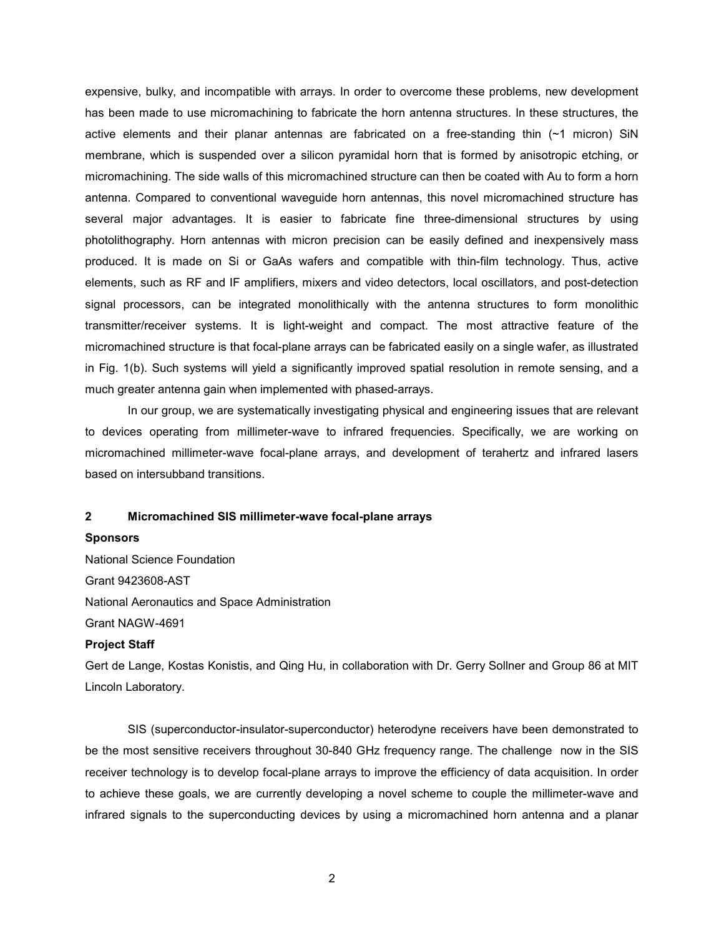expensive, bulky, and incompatible with arrays. In order to overcome these problems, new development has been made to use micromachining to fabricate the horn antenna structures. In these structures, the active elements and their planar antennas are fabricated on a free-standing thin (~1 micron) SiN membrane, which is suspended over a silicon pyramidal horn that is formed by anisotropic etching, or micromachining. The side walls of this micromachined structure can then be coated with Au to form a horn antenna. Compared to conventional waveguide horn antennas, this novel micromachined structure has several major advantages. It is easier to fabricate fine three-dimensional structures by using photolithography. Horn antennas with micron precision can be easily defined and inexpensively mass produced. It is made on Si or GaAs wafers and compatible with thin-film technology. Thus, active elements, such as RF and IF amplifiers, mixers and video detectors, local oscillators, and post-detection signal processors, can be integrated monolithically with the antenna structures to form monolithic transmitter/receiver systems. It is light-weight and compact. The most attractive feature of the micromachined structure is that focal-plane arrays can be fabricated easily on a single wafer, as illustrated in Fig. 1(b). Such systems will yield a significantly improved spatial resolution in remote sensing, and a much greater antenna gain when implemented with phased-arrays.

 In our group, we are systematically investigating physical and engineering issues that are relevant to devices operating from millimeter-wave to infrared frequencies. Specifically, we are working on micromachined millimeter-wave focal-plane arrays, and development of terahertz and infrared lasers based on intersubband transitions.

## **2 Micromachined SIS millimeter-wave focal-plane arrays**

### **Sponsors**

National Science Foundation Grant 9423608-AST National Aeronautics and Space Administration Grant NAGW-4691

#### **Project Staff**

Gert de Lange, Kostas Konistis, and Qing Hu, in collaboration with Dr. Gerry Sollner and Group 86 at MIT Lincoln Laboratory.

 SIS (superconductor-insulator-superconductor) heterodyne receivers have been demonstrated to be the most sensitive receivers throughout 30-840 GHz frequency range. The challenge now in the SIS receiver technology is to develop focal-plane arrays to improve the efficiency of data acquisition. In order to achieve these goals, we are currently developing a novel scheme to couple the millimeter-wave and infrared signals to the superconducting devices by using a micromachined horn antenna and a planar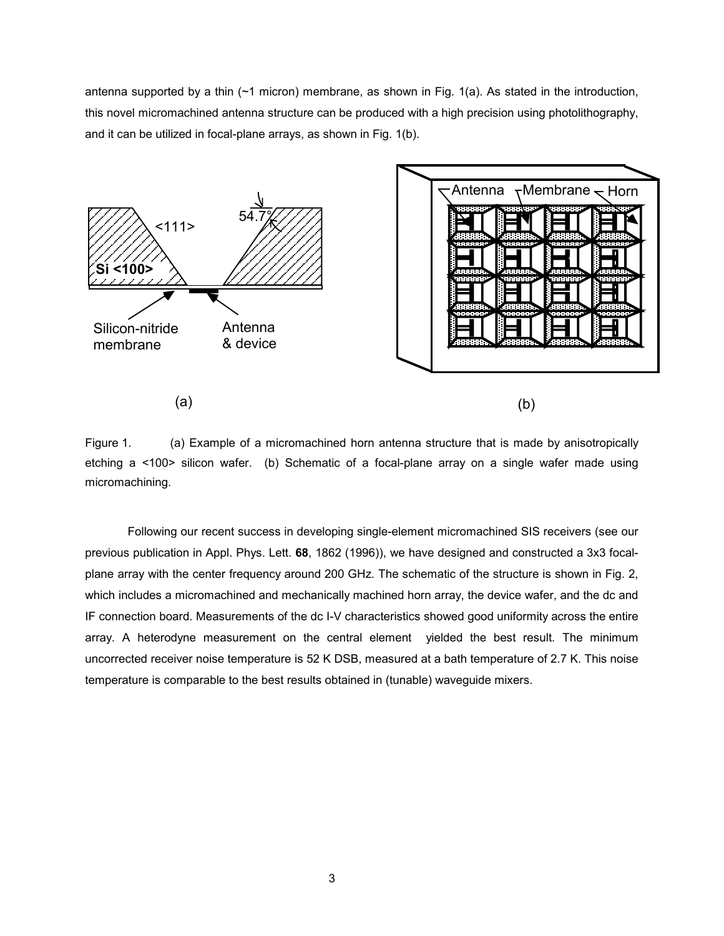antenna supported by a thin  $(\sim 1$  micron) membrane, as shown in Fig. 1(a). As stated in the introduction, this novel micromachined antenna structure can be produced with a high precision using photolithography, and it can be utilized in focal-plane arrays, as shown in Fig. 1(b).



Figure 1. (a) Example of a micromachined horn antenna structure that is made by anisotropically etching a <100> silicon wafer. (b) Schematic of a focal-plane array on a single wafer made using micromachining.

 Following our recent success in developing single-element micromachined SIS receivers (see our previous publication in Appl. Phys. Lett. **68**, 1862 (1996)), we have designed and constructed a 3x3 focalplane array with the center frequency around 200 GHz. The schematic of the structure is shown in Fig. 2, which includes a micromachined and mechanically machined horn array, the device wafer, and the dc and IF connection board. Measurements of the dc I-V characteristics showed good uniformity across the entire array. A heterodyne measurement on the central element yielded the best result. The minimum uncorrected receiver noise temperature is 52 K DSB, measured at a bath temperature of 2.7 K. This noise temperature is comparable to the best results obtained in (tunable) waveguide mixers.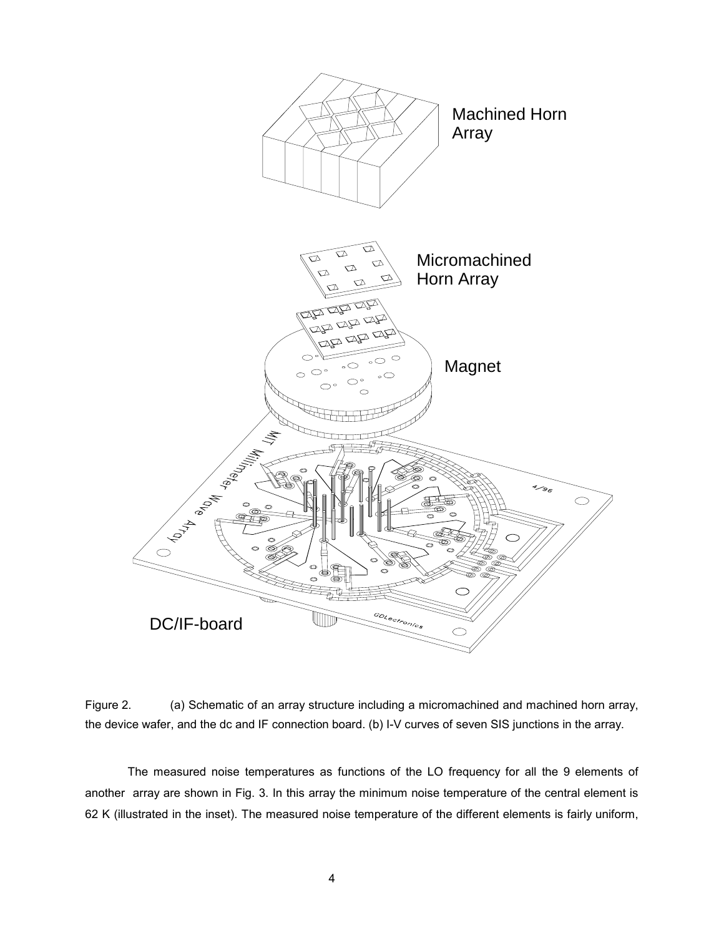

Figure 2. (a) Schematic of an array structure including a micromachined and machined horn array, the device wafer, and the dc and IF connection board. (b) I-V curves of seven SIS junctions in the array.

 The measured noise temperatures as functions of the LO frequency for all the 9 elements of another array are shown in Fig. 3. In this array the minimum noise temperature of the central element is 62 K (illustrated in the inset). The measured noise temperature of the different elements is fairly uniform,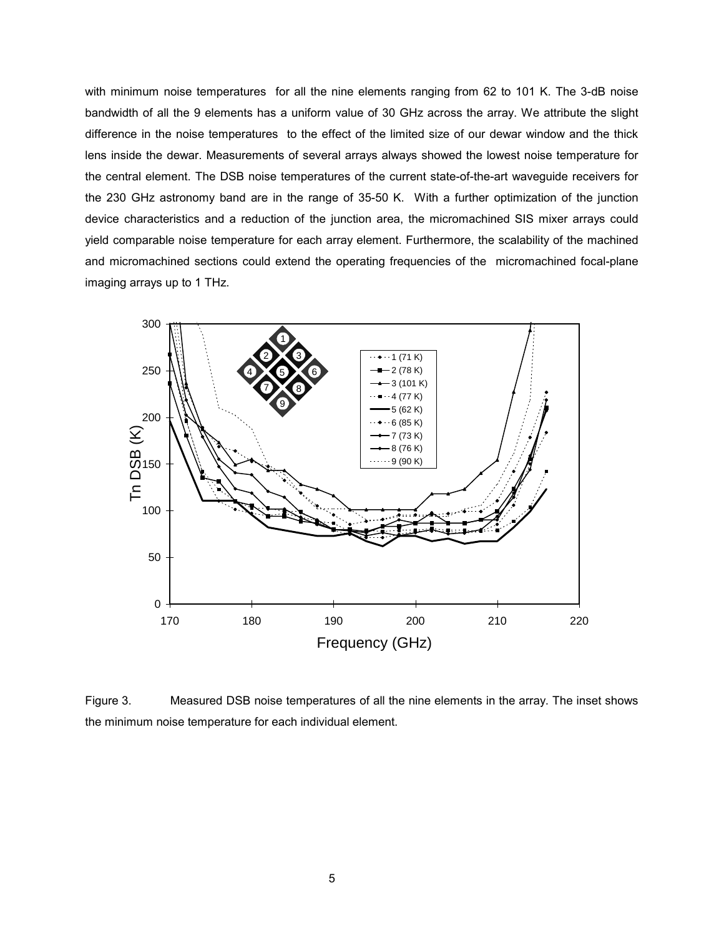with minimum noise temperatures for all the nine elements ranging from 62 to 101 K. The 3-dB noise bandwidth of all the 9 elements has a uniform value of 30 GHz across the array. We attribute the slight difference in the noise temperatures to the effect of the limited size of our dewar window and the thick lens inside the dewar. Measurements of several arrays always showed the lowest noise temperature for the central element. The DSB noise temperatures of the current state-of-the-art waveguide receivers for the 230 GHz astronomy band are in the range of 35-50 K. With a further optimization of the junction device characteristics and a reduction of the junction area, the micromachined SIS mixer arrays could yield comparable noise temperature for each array element. Furthermore, the scalability of the machined and micromachined sections could extend the operating frequencies of the micromachined focal-plane imaging arrays up to 1 THz.



Figure 3. Measured DSB noise temperatures of all the nine elements in the array. The inset shows the minimum noise temperature for each individual element.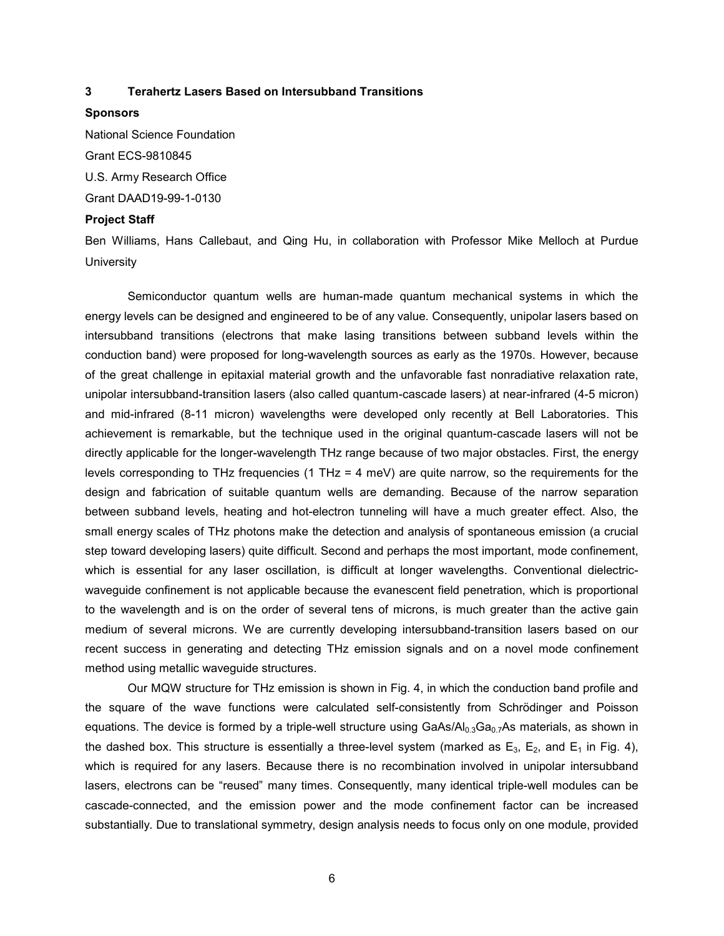## **3 Terahertz Lasers Based on Intersubband Transitions**

## **Sponsors**

National Science Foundation Grant ECS-9810845 U.S. Army Research Office Grant DAAD19-99-1-0130

#### **Project Staff**

Ben Williams, Hans Callebaut, and Qing Hu, in collaboration with Professor Mike Melloch at Purdue **University** 

 Semiconductor quantum wells are human-made quantum mechanical systems in which the energy levels can be designed and engineered to be of any value. Consequently, unipolar lasers based on intersubband transitions (electrons that make lasing transitions between subband levels within the conduction band) were proposed for long-wavelength sources as early as the 1970s. However, because of the great challenge in epitaxial material growth and the unfavorable fast nonradiative relaxation rate, unipolar intersubband-transition lasers (also called quantum-cascade lasers) at near-infrared (4-5 micron) and mid-infrared (8-11 micron) wavelengths were developed only recently at Bell Laboratories. This achievement is remarkable, but the technique used in the original quantum-cascade lasers will not be directly applicable for the longer-wavelength THz range because of two major obstacles. First, the energy levels corresponding to THz frequencies (1 THz = 4 meV) are quite narrow, so the requirements for the design and fabrication of suitable quantum wells are demanding. Because of the narrow separation between subband levels, heating and hot-electron tunneling will have a much greater effect. Also, the small energy scales of THz photons make the detection and analysis of spontaneous emission (a crucial step toward developing lasers) quite difficult. Second and perhaps the most important, mode confinement, which is essential for any laser oscillation, is difficult at longer wavelengths. Conventional dielectricwaveguide confinement is not applicable because the evanescent field penetration, which is proportional to the wavelength and is on the order of several tens of microns, is much greater than the active gain medium of several microns. We are currently developing intersubband-transition lasers based on our recent success in generating and detecting THz emission signals and on a novel mode confinement method using metallic waveguide structures.

 Our MQW structure for THz emission is shown in Fig. 4, in which the conduction band profile and the square of the wave functions were calculated self-consistently from Schrödinger and Poisson equations. The device is formed by a triple-well structure using  $GaAs/Al_{0.3}Ga_{0.7}As$  materials, as shown in the dashed box. This structure is essentially a three-level system (marked as  $E_3$ ,  $E_2$ , and  $E_1$  in Fig. 4), which is required for any lasers. Because there is no recombination involved in unipolar intersubband lasers, electrons can be "reused" many times. Consequently, many identical triple-well modules can be cascade-connected, and the emission power and the mode confinement factor can be increased substantially. Due to translational symmetry, design analysis needs to focus only on one module, provided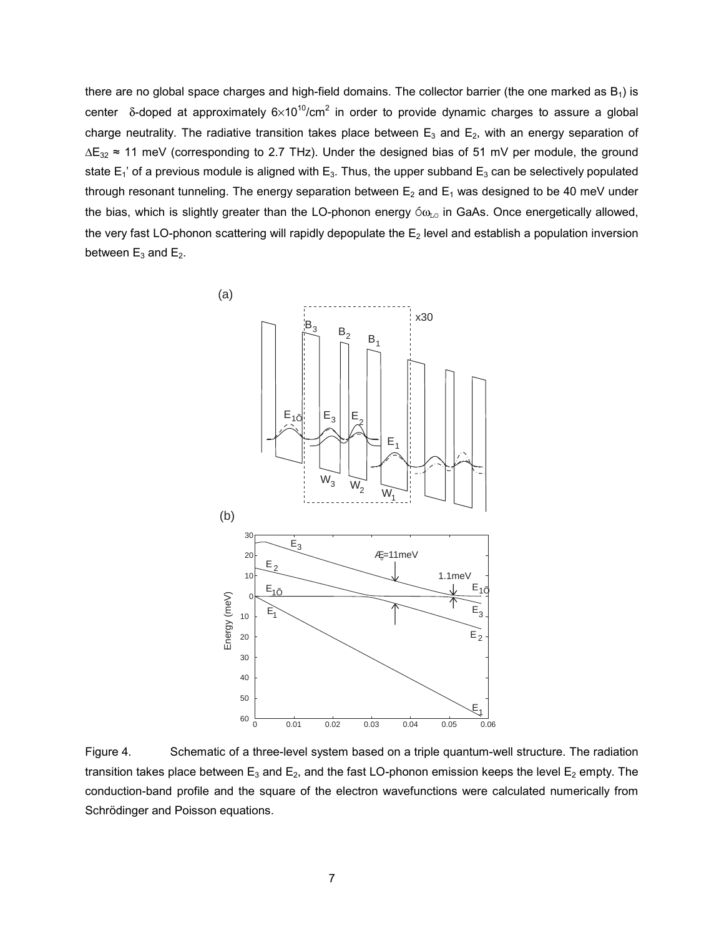there are no global space charges and high-field domains. The collector barrier (the one marked as  $B_1$ ) is center  $\delta$ -doped at approximately 6×10<sup>10</sup>/cm<sup>2</sup> in order to provide dynamic charges to assure a global charge neutrality. The radiative transition takes place between  $E_3$  and  $E_2$ , with an energy separation of ∆E<sub>32</sub> ≈ 11 meV (corresponding to 2.7 THz). Under the designed bias of 51 mV per module, the ground state  $E_1$ ' of a previous module is aligned with  $E_3$ . Thus, the upper subband  $E_3$  can be selectively populated through resonant tunneling. The energy separation between  $E_2$  and  $E_1$  was designed to be 40 meV under the bias, which is slightly greater than the LO-phonon energy  $\delta \omega_{\text{LO}}$  in GaAs. Once energetically allowed, the very fast LO-phonon scattering will rapidly depopulate the  $E_2$  level and establish a population inversion between  $E_3$  and  $E_2$ .



Figure 4. Schematic of a three-level system based on a triple quantum-well structure. The radiation transition takes place between  $E_3$  and  $E_2$ , and the fast LO-phonon emission keeps the level  $E_2$  empty. The conduction-band profile and the square of the electron wavefunctions were calculated numerically from Schrödinger and Poisson equations.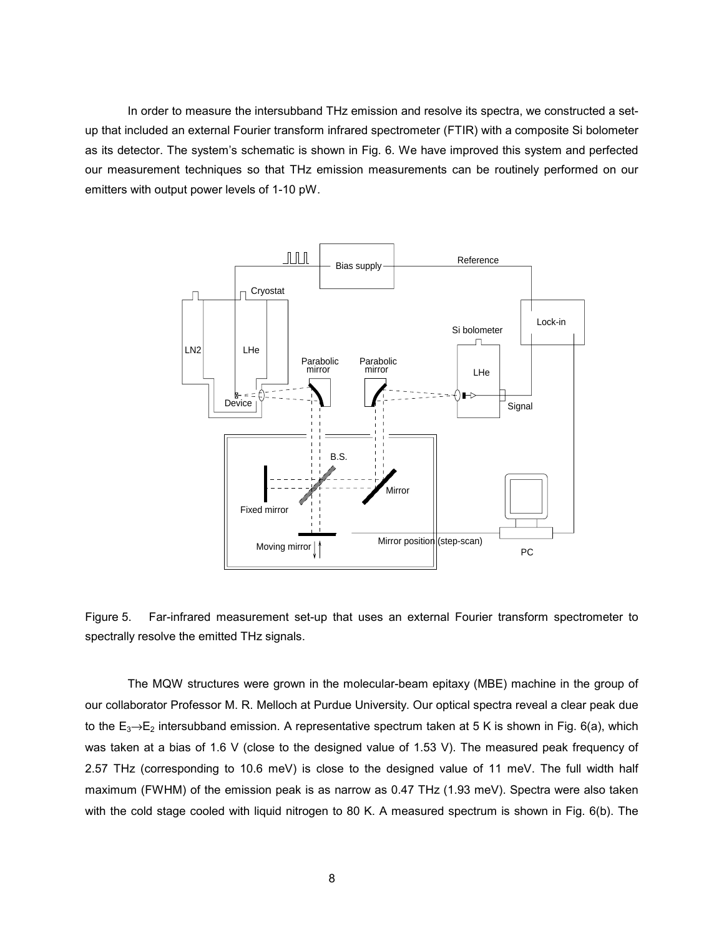In order to measure the intersubband THz emission and resolve its spectra, we constructed a setup that included an external Fourier transform infrared spectrometer (FTIR) with a composite Si bolometer as its detector. The system's schematic is shown in Fig. 6. We have improved this system and perfected our measurement techniques so that THz emission measurements can be routinely performed on our emitters with output power levels of 1-10 pW.



Figure 5. Far-infrared measurement set-up that uses an external Fourier transform spectrometer to spectrally resolve the emitted THz signals.

 The MQW structures were grown in the molecular-beam epitaxy (MBE) machine in the group of our collaborator Professor M. R. Melloch at Purdue University. Our optical spectra reveal a clear peak due to the  $E_3 \rightarrow E_2$  intersubband emission. A representative spectrum taken at 5 K is shown in Fig. 6(a), which was taken at a bias of 1.6 V (close to the designed value of 1.53 V). The measured peak frequency of 2.57 THz (corresponding to 10.6 meV) is close to the designed value of 11 meV. The full width half maximum (FWHM) of the emission peak is as narrow as 0.47 THz (1.93 meV). Spectra were also taken with the cold stage cooled with liquid nitrogen to 80 K. A measured spectrum is shown in Fig. 6(b). The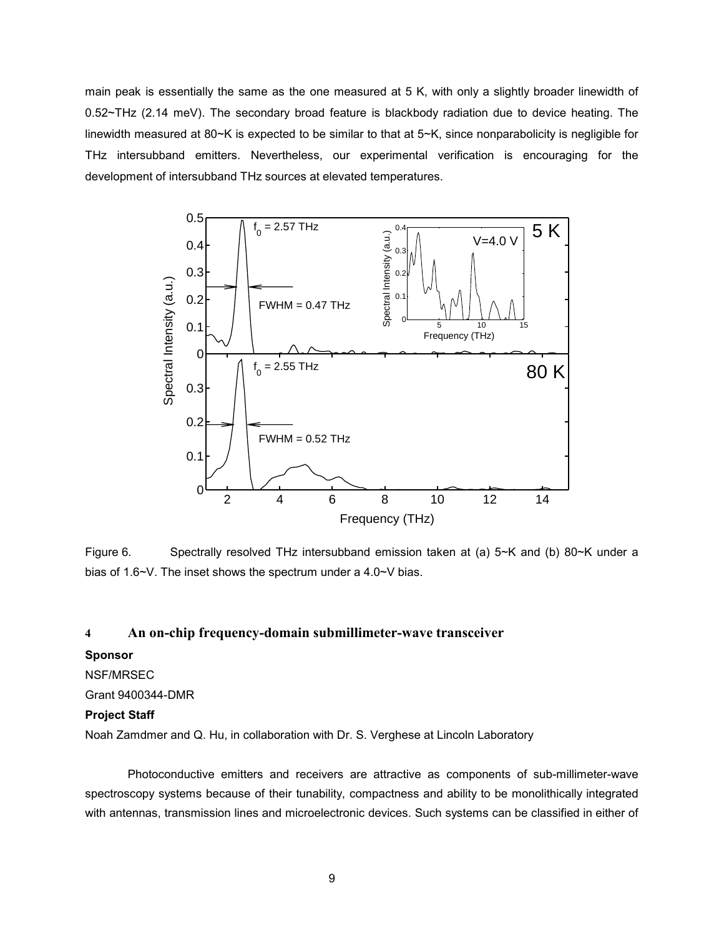main peak is essentially the same as the one measured at 5 K, with only a slightly broader linewidth of 0.52~THz (2.14 meV). The secondary broad feature is blackbody radiation due to device heating. The linewidth measured at 80~K is expected to be similar to that at 5~K, since nonparabolicity is negligible for THz intersubband emitters. Nevertheless, our experimental verification is encouraging for the development of intersubband THz sources at elevated temperatures.



Figure 6. Spectrally resolved THz intersubband emission taken at (a) 5~K and (b) 80~K under a bias of 1.6~V. The inset shows the spectrum under a 4.0~V bias.

# **4 An on-chip frequency-domain submillimeter-wave transceiver**

## **Sponsor**

# NSF/MRSEC

## Grant 9400344-DMR

## **Project Staff**

Noah Zamdmer and Q. Hu, in collaboration with Dr. S. Verghese at Lincoln Laboratory

 Photoconductive emitters and receivers are attractive as components of sub-millimeter-wave spectroscopy systems because of their tunability, compactness and ability to be monolithically integrated with antennas, transmission lines and microelectronic devices. Such systems can be classified in either of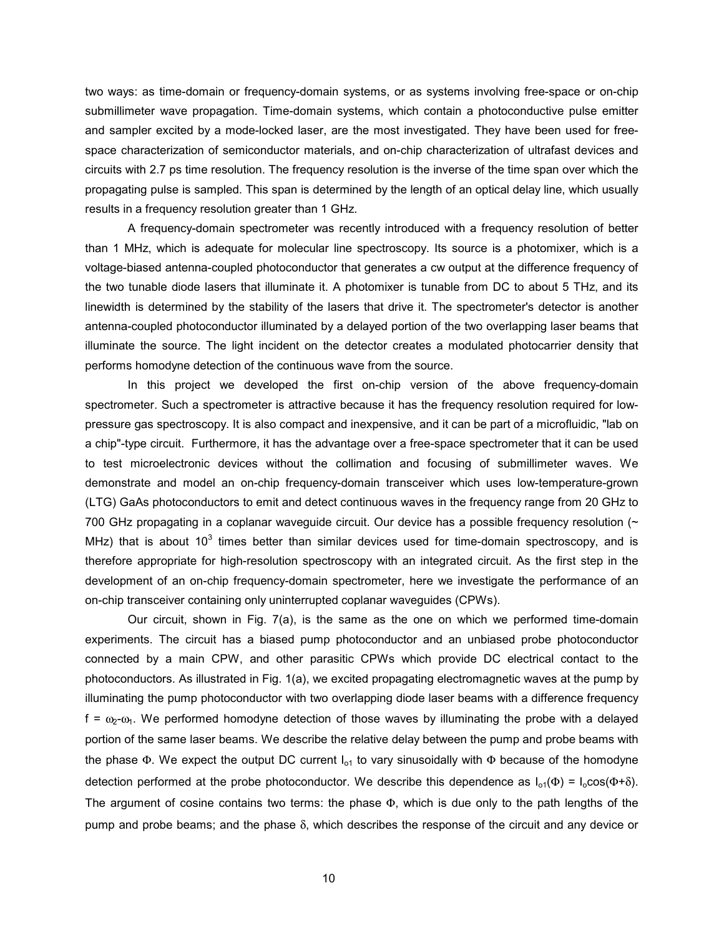two ways: as time-domain or frequency-domain systems, or as systems involving free-space or on-chip submillimeter wave propagation. Time-domain systems, which contain a photoconductive pulse emitter and sampler excited by a mode-locked laser, are the most investigated. They have been used for freespace characterization of semiconductor materials, and on-chip characterization of ultrafast devices and circuits with 2.7 ps time resolution. The frequency resolution is the inverse of the time span over which the propagating pulse is sampled. This span is determined by the length of an optical delay line, which usually results in a frequency resolution greater than 1 GHz.

 A frequency-domain spectrometer was recently introduced with a frequency resolution of better than 1 MHz, which is adequate for molecular line spectroscopy. Its source is a photomixer, which is a voltage-biased antenna-coupled photoconductor that generates a cw output at the difference frequency of the two tunable diode lasers that illuminate it. A photomixer is tunable from DC to about 5 THz, and its linewidth is determined by the stability of the lasers that drive it. The spectrometer's detector is another antenna-coupled photoconductor illuminated by a delayed portion of the two overlapping laser beams that illuminate the source. The light incident on the detector creates a modulated photocarrier density that performs homodyne detection of the continuous wave from the source.

 In this project we developed the first on-chip version of the above frequency-domain spectrometer. Such a spectrometer is attractive because it has the frequency resolution required for lowpressure gas spectroscopy. It is also compact and inexpensive, and it can be part of a microfluidic, "lab on a chip"-type circuit. Furthermore, it has the advantage over a free-space spectrometer that it can be used to test microelectronic devices without the collimation and focusing of submillimeter waves. We demonstrate and model an on-chip frequency-domain transceiver which uses low-temperature-grown (LTG) GaAs photoconductors to emit and detect continuous waves in the frequency range from 20 GHz to 700 GHz propagating in a coplanar waveguide circuit. Our device has a possible frequency resolution (~ MHz) that is about 10<sup>3</sup> times better than similar devices used for time-domain spectroscopy, and is therefore appropriate for high-resolution spectroscopy with an integrated circuit. As the first step in the development of an on-chip frequency-domain spectrometer, here we investigate the performance of an on-chip transceiver containing only uninterrupted coplanar waveguides (CPWs).

 Our circuit, shown in Fig. 7(a), is the same as the one on which we performed time-domain experiments. The circuit has a biased pump photoconductor and an unbiased probe photoconductor connected by a main CPW, and other parasitic CPWs which provide DC electrical contact to the photoconductors. As illustrated in Fig. 1(a), we excited propagating electromagnetic waves at the pump by illuminating the pump photoconductor with two overlapping diode laser beams with a difference frequency  $f = \omega_2 - \omega_1$ . We performed homodyne detection of those waves by illuminating the probe with a delayed portion of the same laser beams. We describe the relative delay between the pump and probe beams with the phase  $\Phi$ . We expect the output DC current  $I_{o1}$  to vary sinusoidally with  $\Phi$  because of the homodyne detection performed at the probe photoconductor. We describe this dependence as  $I_{01}(\Phi) = I_0 \cos(\Phi + \delta)$ . The argument of cosine contains two terms: the phase Φ, which is due only to the path lengths of the pump and probe beams; and the phase δ, which describes the response of the circuit and any device or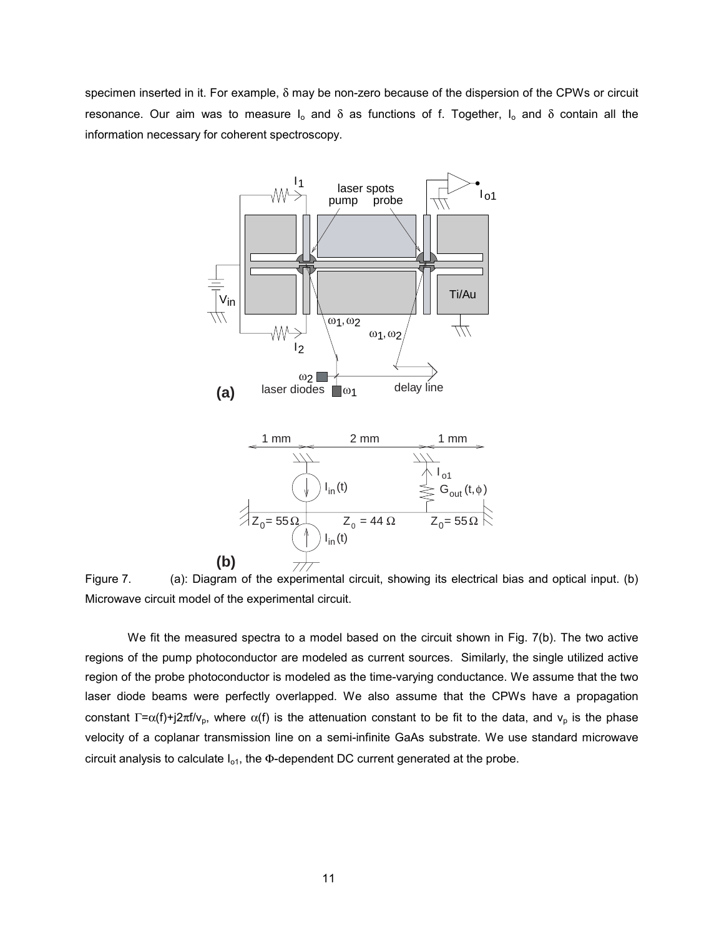specimen inserted in it. For example, δ may be non-zero because of the dispersion of the CPWs or circuit resonance. Our aim was to measure  $I_0$  and  $\delta$  as functions of f. Together,  $I_0$  and  $\delta$  contain all the information necessary for coherent spectroscopy.



Figure 7. (a): Diagram of the experimental circuit, showing its electrical bias and optical input. (b) Microwave circuit model of the experimental circuit.

We fit the measured spectra to a model based on the circuit shown in Fig. 7(b). The two active regions of the pump photoconductor are modeled as current sources. Similarly, the single utilized active region of the probe photoconductor is modeled as the time-varying conductance. We assume that the two laser diode beams were perfectly overlapped. We also assume that the CPWs have a propagation constant  $\Gamma = \alpha(f) + j2\pi f/v_p$ , where  $\alpha(f)$  is the attenuation constant to be fit to the data, and  $v_p$  is the phase velocity of a coplanar transmission line on a semi-infinite GaAs substrate. We use standard microwave circuit analysis to calculate  $I_{o1}$ , the  $\Phi$ -dependent DC current generated at the probe.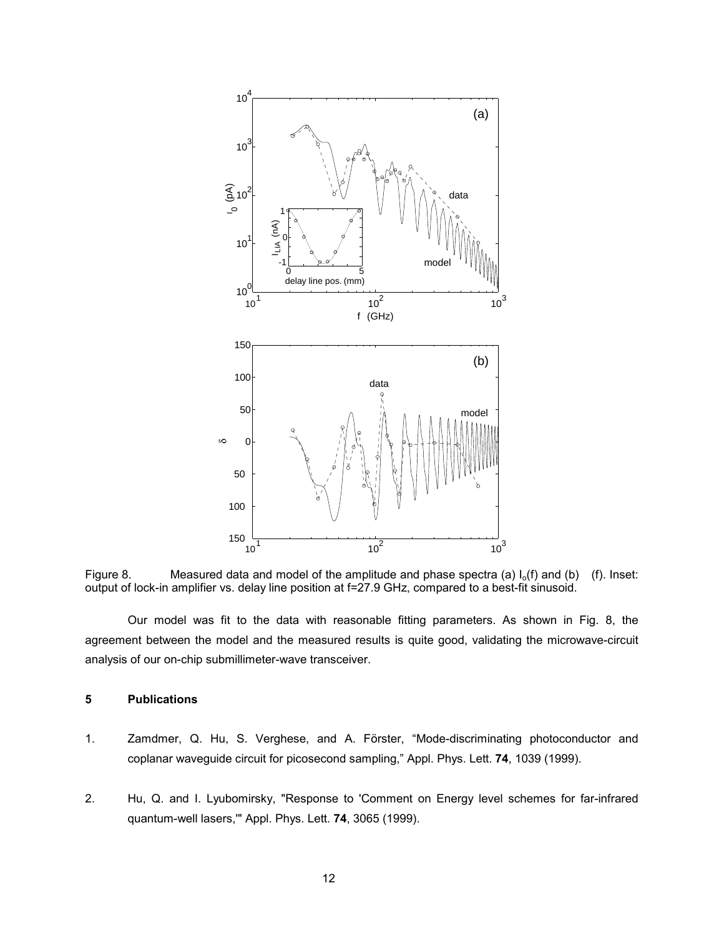

Figure 8. Measured data and model of the amplitude and phase spectra (a)  $I_0(f)$  and (b) (f). Inset: output of lock-in amplifier vs. delay line position at f=27.9 GHz, compared to a best-fit sinusoid.

 Our model was fit to the data with reasonable fitting parameters. As shown in Fig. 8, the agreement between the model and the measured results is quite good, validating the microwave-circuit analysis of our on-chip submillimeter-wave transceiver.

## **5 Publications**

- 1. Zamdmer, Q. Hu, S. Verghese, and A. Förster, "Mode-discriminating photoconductor and coplanar waveguide circuit for picosecond sampling," Appl. Phys. Lett. **74**, 1039 (1999).
- 2. Hu, Q. and I. Lyubomirsky, "Response to 'Comment on Energy level schemes for far-infrared quantum-well lasers,'" Appl. Phys. Lett. **74**, 3065 (1999).